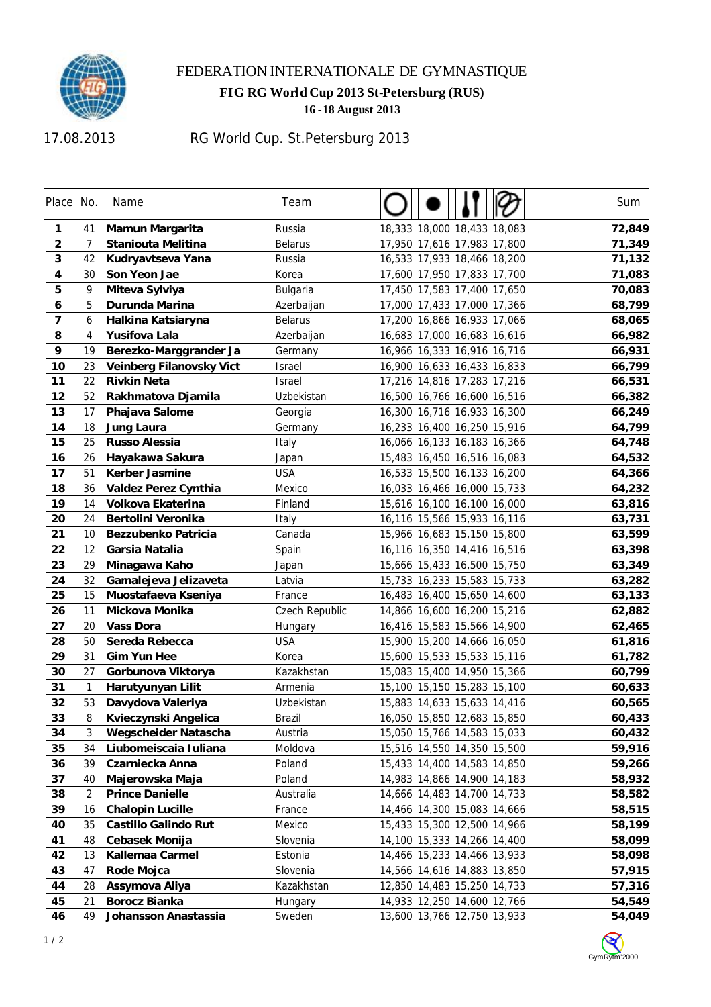

## FEDERATION INTERNATIONALE DE GYMNASTIQUE

**FIG RG World Cup 2013 St-Petersburg (RUS)** 

**-18 August 2013** 

17.08.2013

## RG World Cup. St.Petersburg 2013

| Place No.               |                | Name                     | Team           |                             | Sum    |
|-------------------------|----------------|--------------------------|----------------|-----------------------------|--------|
| 1                       | 41             | Mamun Margarita          | Russia         | 18,333 18,000 18,433 18,083 | 72,849 |
| $\overline{\mathbf{c}}$ | $\overline{7}$ | Staniouta Melitina       | <b>Belarus</b> | 17,950 17,616 17,983 17,800 | 71,349 |
| 3                       | 42             | Kudryavtseva Yana        | Russia         | 16,533 17,933 18,466 18,200 | 71,132 |
| 4                       | 30             | Son Yeon Jae             | Korea          | 17,600 17,950 17,833 17,700 | 71,083 |
| 5                       | 9              | Miteva Sylviya           | Bulgaria       | 17,450 17,583 17,400 17,650 | 70,083 |
| 6                       | 5              | Durunda Marina           | Azerbaijan     | 17,000 17,433 17,000 17,366 | 68,799 |
| 7                       | 6              | Halkina Katsiaryna       | <b>Belarus</b> | 17,200 16,866 16,933 17,066 | 68,065 |
| 8                       | 4              | Yusifova Lala            | Azerbaijan     | 16,683 17,000 16,683 16,616 | 66,982 |
| 9                       | 19             | Berezko-Marggrander Ja   | Germany        | 16,966 16,333 16,916 16,716 | 66,931 |
| 10                      | 23             | Veinberg Filanovsky Vict | Israel         | 16,900 16,633 16,433 16,833 | 66,799 |
| 11                      | 22             | <b>Rivkin Neta</b>       | <b>Israel</b>  | 17,216 14,816 17,283 17,216 | 66,531 |
| 12                      | 52             | Rakhmatova Djamila       | Uzbekistan     | 16,500 16,766 16,600 16,516 | 66,382 |
| 13                      | 17             | Phajava Salome           | Georgia        | 16,300 16,716 16,933 16,300 | 66,249 |
| 14                      | 18             | Jung Laura               | Germany        | 16,233 16,400 16,250 15,916 | 64,799 |
| 15                      | 25             | Russo Alessia            | Italy          | 16,066 16,133 16,183 16,366 | 64,748 |
| 16                      | 26             | Hayakawa Sakura          | Japan          | 15,483 16,450 16,516 16,083 | 64,532 |
| 17                      | 51             | Kerber Jasmine           | <b>USA</b>     | 16,533 15,500 16,133 16,200 | 64,366 |
| 18                      | 36             | Valdez Perez Cynthia     | Mexico         | 16,033 16,466 16,000 15,733 | 64,232 |
| 19                      | 14             | Volkova Ekaterina        | Finland        | 15,616 16,100 16,100 16,000 | 63,816 |
| 20                      | 24             | Bertolini Veronika       | Italy          | 16,116 15,566 15,933 16,116 | 63,731 |
| 21                      | 10             | Bezzubenko Patricia      | Canada         | 15,966 16,683 15,150 15,800 | 63,599 |
| 22                      | 12             | Garsia Natalia           | Spain          | 16,116 16,350 14,416 16,516 | 63,398 |
| 23                      | 29             | Minagawa Kaho            | Japan          | 15,666 15,433 16,500 15,750 | 63,349 |
| 24                      | 32             | Gamalejeva Jelizaveta    | Latvia         | 15,733 16,233 15,583 15,733 | 63,282 |
| 25                      | 15             | Muostafaeva Kseniya      | France         | 16,483 16,400 15,650 14,600 | 63,133 |
| 26                      | 11             | Mickova Monika           | Czech Republic | 14,866 16,600 16,200 15,216 | 62,882 |
| 27                      | 20             | <b>Vass Dora</b>         | Hungary        | 16,416 15,583 15,566 14,900 | 62,465 |
| 28                      | 50             | Sereda Rebecca           | <b>USA</b>     | 15,900 15,200 14,666 16,050 | 61,816 |
| 29                      | 31             | <b>Gim Yun Hee</b>       | Korea          | 15,600 15,533 15,533 15,116 | 61,782 |
| 30                      | 27             | Gorbunova Viktorya       | Kazakhstan     | 15,083 15,400 14,950 15,366 | 60,799 |
| 31                      | $\mathbf{1}$   | Harutyunyan Lilit        | Armenia        | 15,100 15,150 15,283 15,100 | 60,633 |
| 32                      | 53             | Davydova Valeriya        | Uzbekistan     | 15,883 14,633 15,633 14,416 | 60,565 |
| 33                      | 8              | Kvieczynski Angelica     | Brazil         | 16,050 15,850 12,683 15,850 | 60,433 |
| 34                      | 3              | Wegscheider Natascha     | Austria        | 15,050 15,766 14,583 15,033 | 60,432 |
| 35                      | 34             | Liubomeiscaia Iuliana    | Moldova        | 15,516 14,550 14,350 15,500 | 59,916 |
| 36                      | 39             | Czarniecka Anna          | Poland         | 15,433 14,400 14,583 14,850 | 59,266 |
| 37                      | 40             | Majerowska Maja          | Poland         | 14,983 14,866 14,900 14,183 | 58,932 |
| 38                      | $\overline{2}$ | <b>Prince Danielle</b>   | Australia      | 14,666 14,483 14,700 14,733 | 58,582 |
| 39                      | 16             | <b>Chalopin Lucille</b>  | France         | 14,466 14,300 15,083 14,666 | 58,515 |
| 40                      | 35             | Castillo Galindo Rut     | Mexico         | 15,433 15,300 12,500 14,966 | 58,199 |
| 41                      | 48             | Cebasek Monija           | Slovenia       | 14,100 15,333 14,266 14,400 | 58,099 |
| 42                      | 13             | Kallemaa Carmel          | Estonia        | 14,466 15,233 14,466 13,933 | 58,098 |
| 43                      | 47             | Rode Mojca               | Slovenia       | 14,566 14,616 14,883 13,850 | 57,915 |
| 44                      | 28             | Assymova Aliya           | Kazakhstan     | 12,850 14,483 15,250 14,733 | 57,316 |
| 45                      | 21             | <b>Borocz Bianka</b>     | Hungary        | 14,933 12,250 14,600 12,766 | 54,549 |
| 46                      | 49             | Johansson Anastassia     | Sweden         | 13,600 13,766 12,750 13,933 | 54,049 |

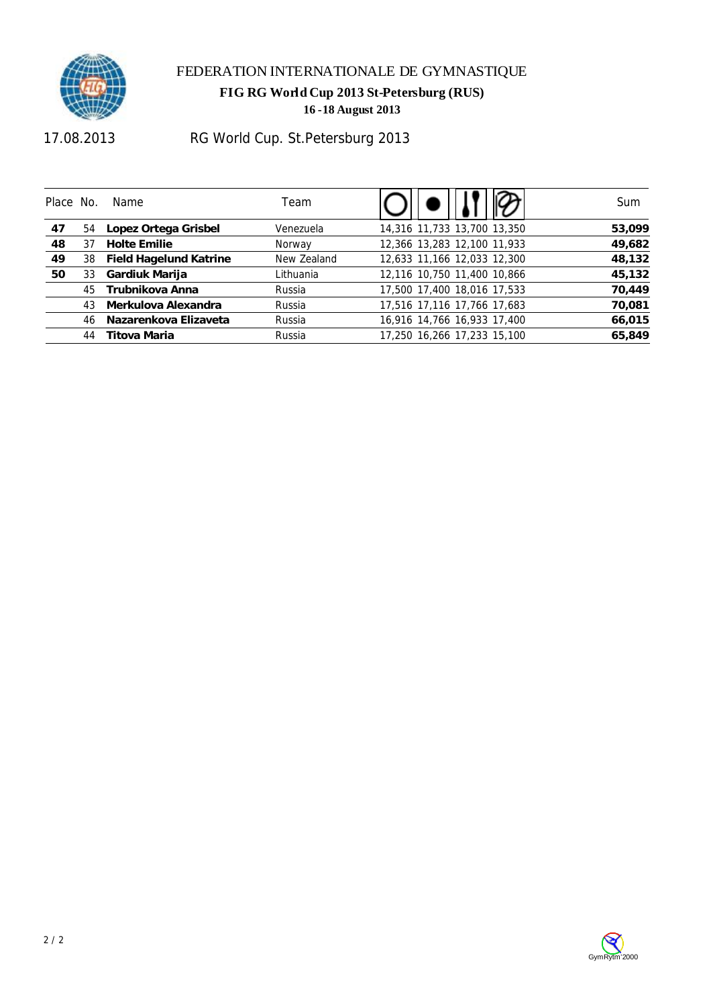

#### FEDERATION INTERNATIONALE DE GYMNASTIQUE

**FIG RG World Cup 2013 St-Petersburg (RUS)** 

**16 -18 August 2013** 

17.08.2013

# RG World Cup. St.Petersburg 2013

| Place No. |    | Name                      | Team        |                             | Sum    |
|-----------|----|---------------------------|-------------|-----------------------------|--------|
| 47        |    | 54 Lopez Ortega Grisbel   | Venezuela   | 14,316 11,733 13,700 13,350 | 53,099 |
| 48        | 37 | <b>Holte Emilie</b>       | Norway      | 12,366 13,283 12,100 11,933 | 49,682 |
| 49        |    | 38 Field Hagelund Katrine | New Zealand | 12,633 11,166 12,033 12,300 | 48,132 |
| 50        | 33 | Gardiuk Marija            | Lithuania   | 12,116 10,750 11,400 10,866 | 45,132 |
|           | 45 | Trubnikova Anna           | Russia      | 17,500 17,400 18,016 17,533 | 70,449 |
|           | 43 | Merkulova Alexandra       | Russia      | 17,516 17,116 17,766 17,683 | 70,081 |
|           | 46 | Nazarenkova Elizaveta     | Russia      | 16,916 14,766 16,933 17,400 | 66,015 |
|           | 44 | Titova Maria              | Russia      | 17,250 16,266 17,233 15,100 | 65,849 |

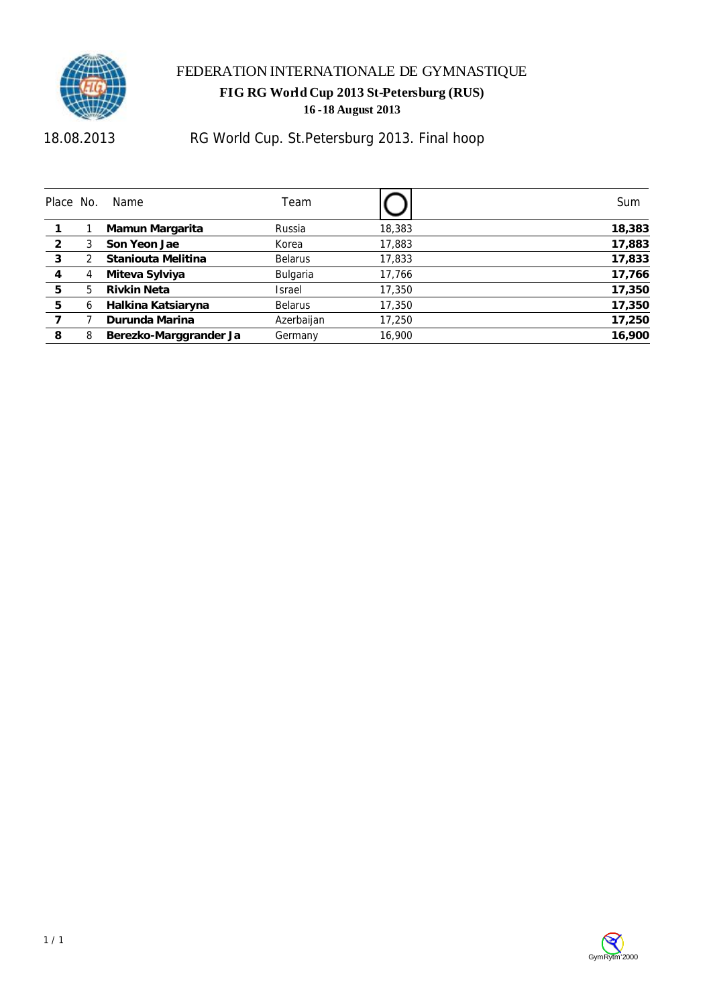

18.08.2013

## RG World Cup. St.Petersburg 2013. Final hoop

| Place No. |   | Name                   | Team           |        | Sum    |
|-----------|---|------------------------|----------------|--------|--------|
|           |   | Mamun Margarita        | Russia         | 18,383 | 18,383 |
| 2         |   | Son Yeon Jae           | Korea          | 17,883 | 17,883 |
| 3         |   | Staniouta Melitina     | <b>Belarus</b> | 17,833 | 17,833 |
| 4         | 4 | Miteva Sylviya         | Bulgaria       | 17,766 | 17,766 |
| 5         | 5 | Rivkin Neta            | Israel         | 17,350 | 17,350 |
| 5         | 6 | Halkina Katsiaryna     | <b>Belarus</b> | 17,350 | 17,350 |
|           |   | Durunda Marina         | Azerbaijan     | 17,250 | 17,250 |
| 8         | 8 | Berezko-Marggrander Ja | Germany        | 16,900 | 16,900 |

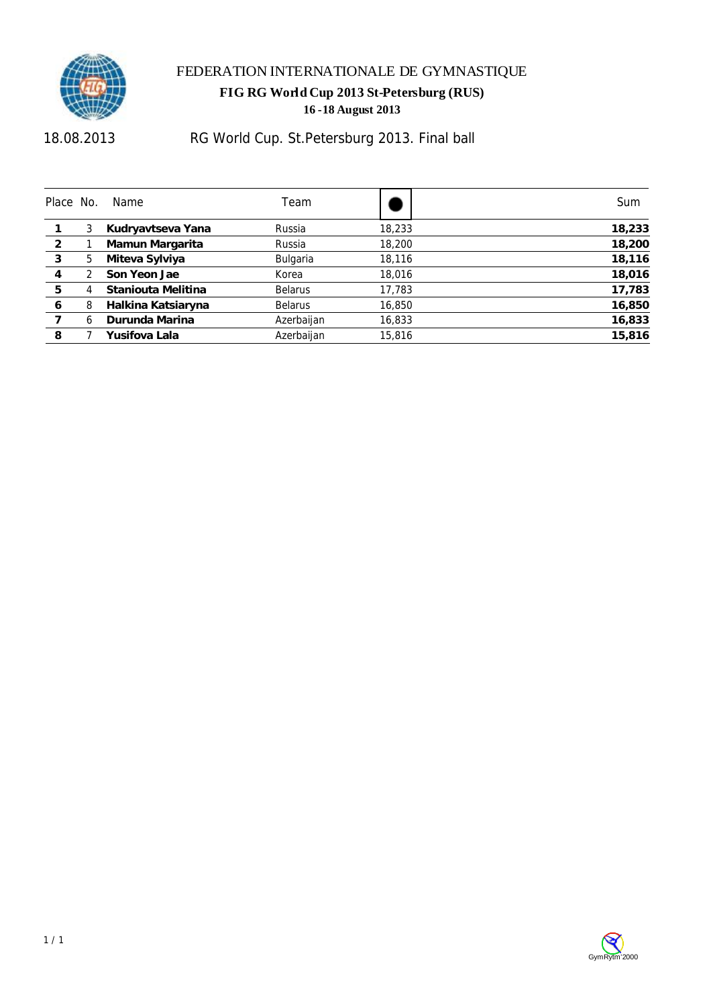

18.08.2013

## RG World Cup. St.Petersburg 2013. Final ball

| Place No.      |   | Name               | Team            |        | Sum    |
|----------------|---|--------------------|-----------------|--------|--------|
|                | 3 | Kudryavtseva Yana  | Russia          | 18,233 | 18,233 |
| $\overline{2}$ |   | Mamun Margarita    | Russia          | 18,200 | 18,200 |
| 3              | 5 | Miteva Sylviya     | <b>Bulgaria</b> | 18,116 | 18,116 |
| 4              |   | Son Yeon Jae       | Korea           | 18,016 | 18,016 |
| 5              | 4 | Staniouta Melitina | <b>Belarus</b>  | 17,783 | 17,783 |
| 6              | 8 | Halkina Katsiaryna | <b>Belarus</b>  | 16,850 | 16,850 |
|                | 6 | Durunda Marina     | Azerbaijan      | 16,833 | 16,833 |
| 8              |   | Yusifova Lala      | Azerbaijan      | 15,816 | 15,816 |

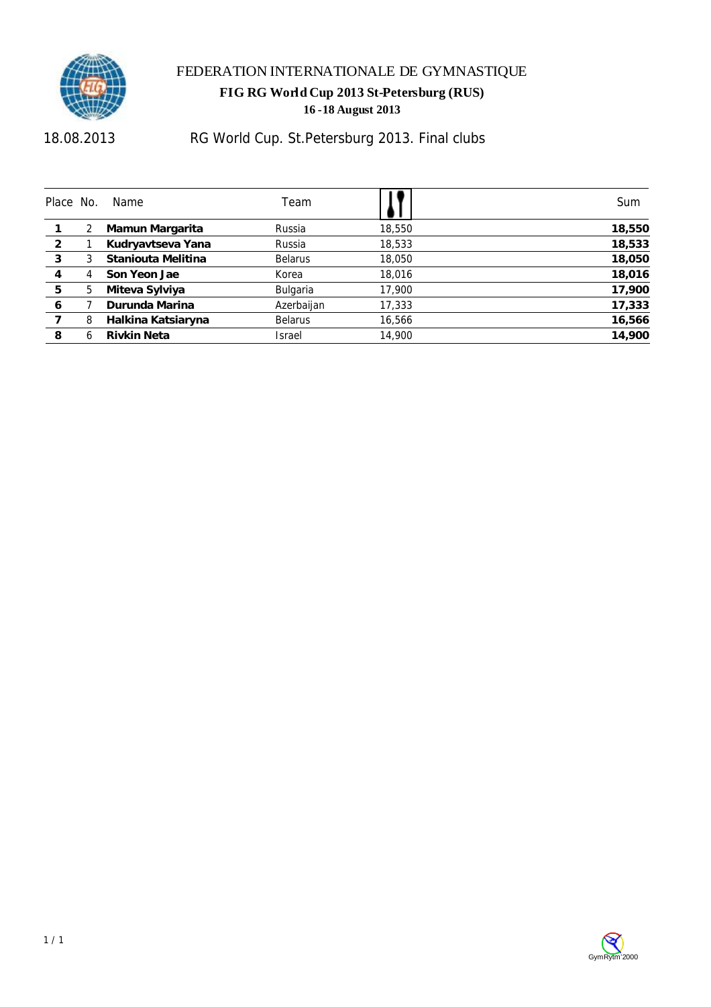

18.08.2013

## RG World Cup. St.Petersburg 2013. Final clubs

| Place No. |   | Name               | Team            |        | Sum    |
|-----------|---|--------------------|-----------------|--------|--------|
|           |   | Mamun Margarita    | Russia          | 18,550 | 18,550 |
| 2         |   | Kudryavtseva Yana  | Russia          | 18,533 | 18,533 |
| 3         | 3 | Staniouta Melitina | <b>Belarus</b>  | 18,050 | 18,050 |
| 4         | 4 | Son Yeon Jae       | Korea           | 18,016 | 18,016 |
| 5         | 5 | Miteva Sylviya     | <b>Bulgaria</b> | 17,900 | 17,900 |
| 6         |   | Durunda Marina     | Azerbaijan      | 17,333 | 17,333 |
|           | 8 | Halkina Katsiaryna | <b>Belarus</b>  | 16,566 | 16,566 |
| 8         | h | Rivkin Neta        | Israel          | 14,900 | 14,900 |

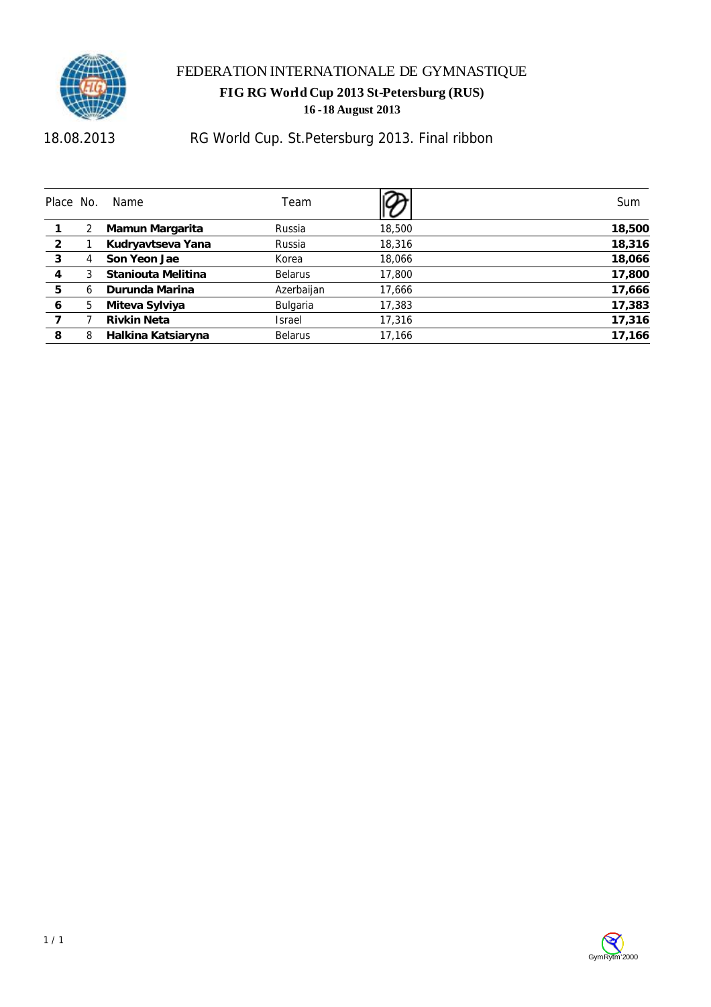

18.08.2013

## RG World Cup. St.Petersburg 2013. Final ribbon

| Place No.      |   | Name               | Team           |        | Sum    |
|----------------|---|--------------------|----------------|--------|--------|
|                |   | Mamun Margarita    | Russia         | 18,500 | 18,500 |
| $\overline{2}$ |   | Kudryavtseva Yana  | Russia         | 18,316 | 18,316 |
| 3              | 4 | Son Yeon Jae       | Korea          | 18,066 | 18,066 |
| 4              |   | Staniouta Melitina | <b>Belarus</b> | 17,800 | 17,800 |
| 5              | h | Durunda Marina     | Azerbaijan     | 17,666 | 17,666 |
| 6              | 5 | Miteva Sylviya     | Bulgaria       | 17,383 | 17,383 |
|                |   | Rivkin Neta        | Israel         | 17,316 | 17,316 |
| 8              | 8 | Halkina Katsiaryna | <b>Belarus</b> | 17.166 | 17,166 |

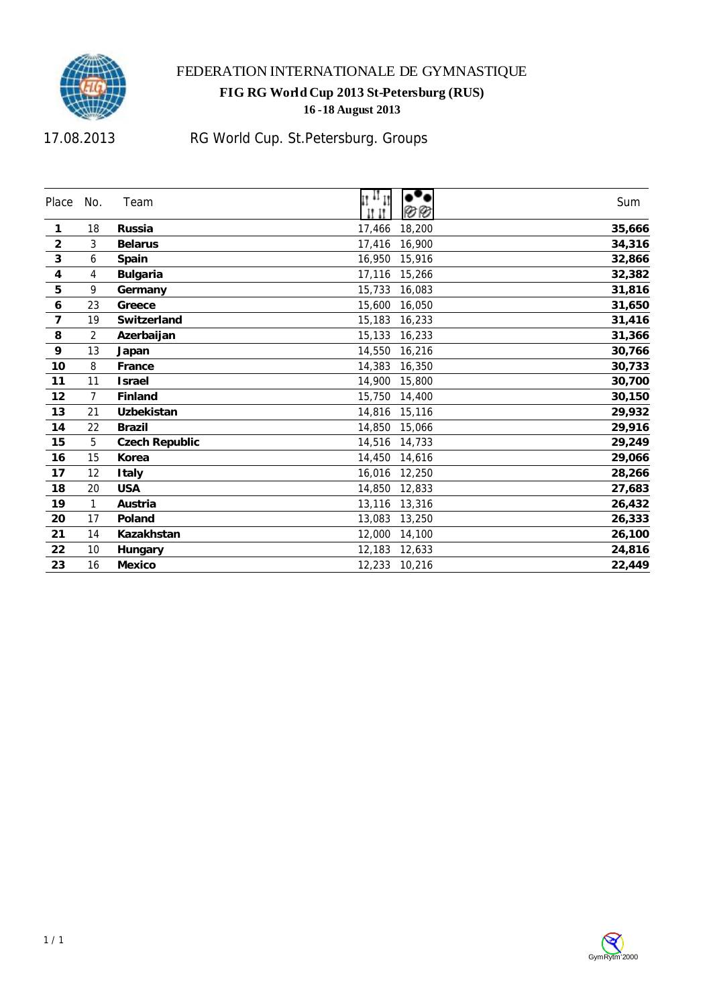

## FEDERATION INTERNATIONALE DE GYMNASTIQUE

#### **FIG RG World Cup 2013 St-Petersburg (RUS) -18 August 2013**

17.08.2013

# RG World Cup. St.Petersburg. Groups

| Place                   | No.            | Team                  | $\mathfrak{u}^{\mathfrak{u}}$<br>ØØ | Sum    |
|-------------------------|----------------|-----------------------|-------------------------------------|--------|
| 1                       | 18             | <b>Russia</b>         | 17,466<br>18,200                    | 35,666 |
| $\overline{2}$          | 3              | <b>Belarus</b>        | 17,416<br>16,900                    | 34,316 |
| $\mathbf{3}$            | 6              | Spain                 | 16,950<br>15,916                    | 32,866 |
| $\overline{\mathbf{4}}$ | 4              | <b>Bulgaria</b>       | 17,116<br>15,266                    | 32,382 |
| 5                       | 9              | Germany               | 15,733<br>16,083                    | 31,816 |
| $\boldsymbol{6}$        | 23             | Greece                | 15,600<br>16,050                    | 31,650 |
| $\overline{7}$          | 19             | Switzerland           | 15,183<br>16,233                    | 31,416 |
| 8                       | $\overline{2}$ | Azerbaijan            | 15,133<br>16,233                    | 31,366 |
| 9                       | 13             | Japan                 | 14,550<br>16,216                    | 30,766 |
| 10                      | 8              | France                | 14,383<br>16,350                    | 30,733 |
| 11                      | 11             | <b>Israel</b>         | 14,900<br>15,800                    | 30,700 |
| 12                      | $\overline{7}$ | Finland               | 15,750<br>14,400                    | 30,150 |
| 13                      | 21             | Uzbekistan            | 14,816<br>15,116                    | 29,932 |
| 14                      | 22             | <b>Brazil</b>         | 14,850<br>15,066                    | 29,916 |
| 15                      | 5              | <b>Czech Republic</b> | 14,516<br>14,733                    | 29,249 |
| 16                      | 15             | Korea                 | 14,450<br>14,616                    | 29,066 |
| 17                      | 12             | <b>Italy</b>          | 16,016<br>12,250                    | 28,266 |
| 18                      | 20             | <b>USA</b>            | 14,850<br>12,833                    | 27,683 |
| 19                      | 1              | Austria               | 13,116<br>13,316                    | 26,432 |
| 20                      | 17             | Poland                | 13,083<br>13,250                    | 26,333 |
| 21                      | 14             | Kazakhstan            | 12,000<br>14,100                    | 26,100 |
| 22                      | 10             | Hungary               | 12,183<br>12,633                    | 24,816 |
| 23                      | 16             | Mexico                | 12,233 10,216                       | 22,449 |

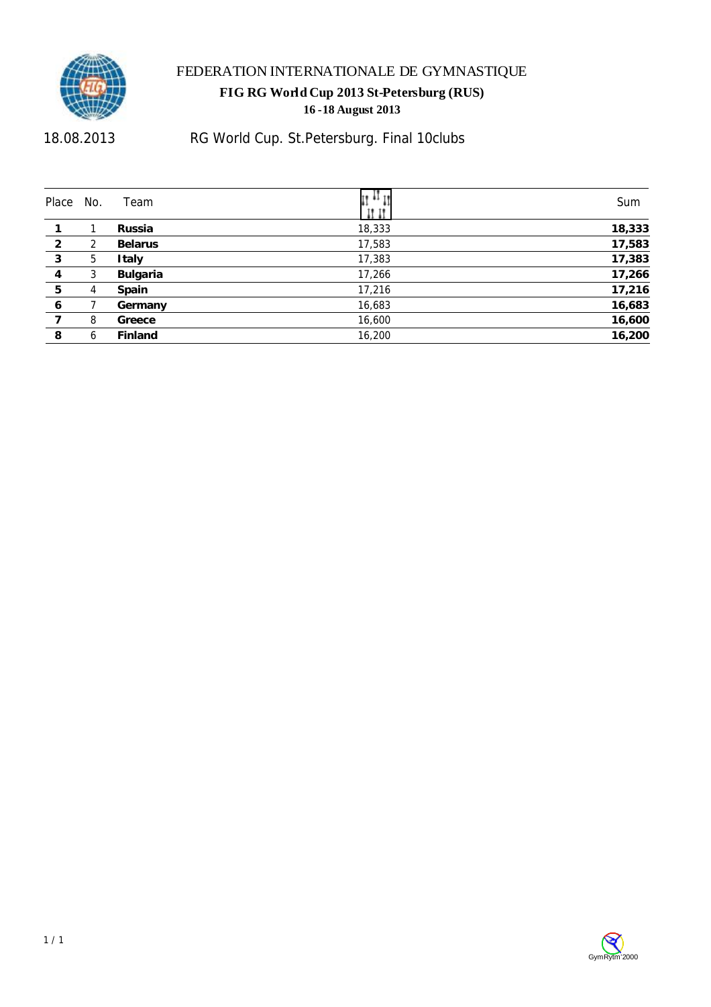

18.08.2013

## RG World Cup. St.Petersburg. Final 10clubs

| Place          | No. | Team            | II **  | Sum    |
|----------------|-----|-----------------|--------|--------|
|                |     | Russia          | 18,333 | 18,333 |
| $\overline{2}$ | 2   | <b>Belarus</b>  | 17,583 | 17,583 |
| 3              | 5   | <b>Italy</b>    | 17,383 | 17,383 |
| 4              | 3   | <b>Bulgaria</b> | 17,266 | 17,266 |
| 5              | 4   | Spain           | 17,216 | 17,216 |
| 6              |     | Germany         | 16,683 | 16,683 |
|                | 8   | Greece          | 16,600 | 16,600 |
| 8              | 6   | Finland         | 16,200 | 16,200 |